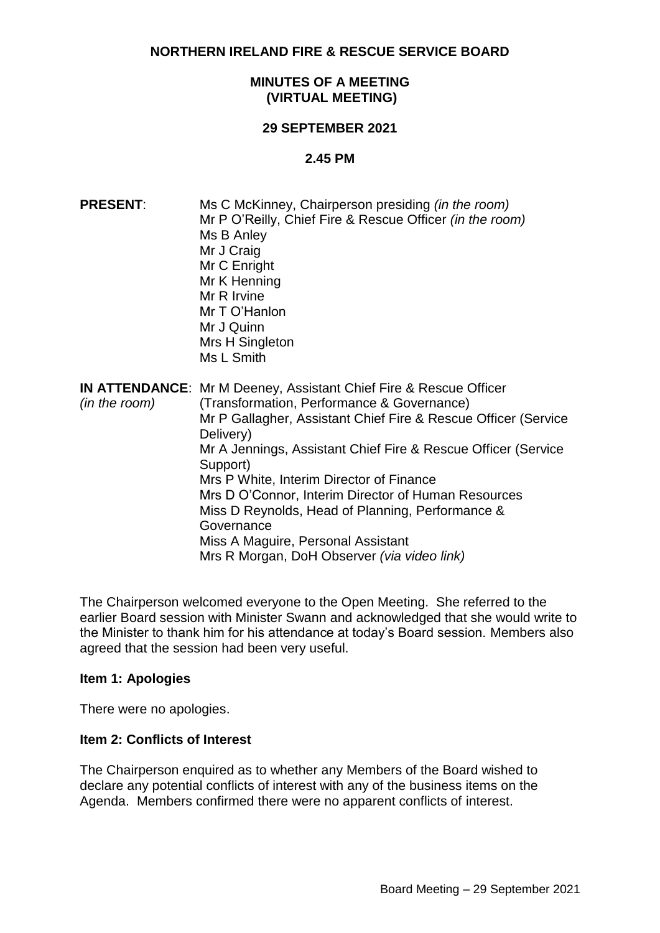**NORTHERN IRELAND FIRE & RESCUE SERVICE BOARD**

## **MINUTES OF A MEETING (VIRTUAL MEETING)**

#### **29 SEPTEMBER 2021**

#### **2.45 PM**

| <b>PRESENT:</b> | Ms C McKinney, Chairperson presiding <i>(in the room)</i><br>Mr P O'Reilly, Chief Fire & Rescue Officer (in the room)<br>Ms B Anley<br>Mr J Craig<br>Mr C Enright<br>Mr K Henning<br>Mr R Irvine<br>Mr T O'Hanlon<br>Mr J Quinn<br>Mrs H Singleton<br>Ms L Smith                                                                                                                                                                                                                                                                             |
|-----------------|----------------------------------------------------------------------------------------------------------------------------------------------------------------------------------------------------------------------------------------------------------------------------------------------------------------------------------------------------------------------------------------------------------------------------------------------------------------------------------------------------------------------------------------------|
| (in the room)   | <b>IN ATTENDANCE:</b> Mr M Deeney, Assistant Chief Fire & Rescue Officer<br>(Transformation, Performance & Governance)<br>Mr P Gallagher, Assistant Chief Fire & Rescue Officer (Service<br>Delivery)<br>Mr A Jennings, Assistant Chief Fire & Rescue Officer (Service<br>Support)<br>Mrs P White, Interim Director of Finance<br>Mrs D O'Connor, Interim Director of Human Resources<br>Miss D Reynolds, Head of Planning, Performance &<br>Governance<br>Miss A Maguire, Personal Assistant<br>Mrs R Morgan, DoH Observer (via video link) |

The Chairperson welcomed everyone to the Open Meeting. She referred to the earlier Board session with Minister Swann and acknowledged that she would write to the Minister to thank him for his attendance at today's Board session. Members also agreed that the session had been very useful.

#### **Item 1: Apologies**

There were no apologies.

#### **Item 2: Conflicts of Interest**

The Chairperson enquired as to whether any Members of the Board wished to declare any potential conflicts of interest with any of the business items on the Agenda. Members confirmed there were no apparent conflicts of interest.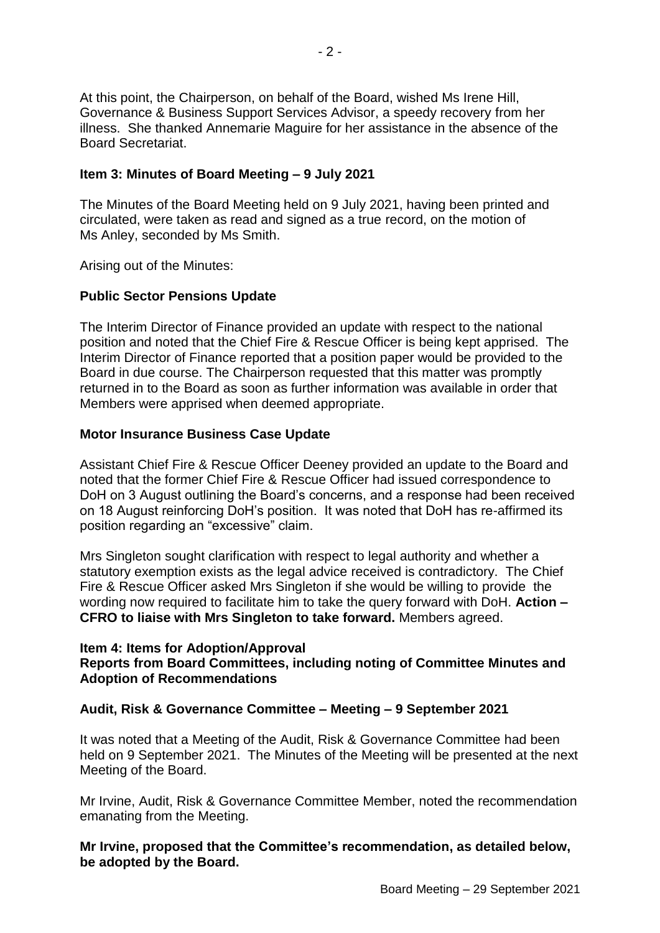At this point, the Chairperson, on behalf of the Board, wished Ms Irene Hill, Governance & Business Support Services Advisor, a speedy recovery from her illness. She thanked Annemarie Maguire for her assistance in the absence of the Board Secretariat.

## **Item 3: Minutes of Board Meeting – 9 July 2021**

The Minutes of the Board Meeting held on 9 July 2021, having been printed and circulated, were taken as read and signed as a true record, on the motion of Ms Anley, seconded by Ms Smith.

Arising out of the Minutes:

# **Public Sector Pensions Update**

The Interim Director of Finance provided an update with respect to the national position and noted that the Chief Fire & Rescue Officer is being kept apprised. The Interim Director of Finance reported that a position paper would be provided to the Board in due course. The Chairperson requested that this matter was promptly returned in to the Board as soon as further information was available in order that Members were apprised when deemed appropriate.

## **Motor Insurance Business Case Update**

Assistant Chief Fire & Rescue Officer Deeney provided an update to the Board and noted that the former Chief Fire & Rescue Officer had issued correspondence to DoH on 3 August outlining the Board's concerns, and a response had been received on 18 August reinforcing DoH's position. It was noted that DoH has re-affirmed its position regarding an "excessive" claim.

Mrs Singleton sought clarification with respect to legal authority and whether a statutory exemption exists as the legal advice received is contradictory. The Chief Fire & Rescue Officer asked Mrs Singleton if she would be willing to provide the wording now required to facilitate him to take the query forward with DoH. **Action – CFRO to liaise with Mrs Singleton to take forward.** Members agreed.

#### **Item 4: Items for Adoption/Approval**

# **Reports from Board Committees, including noting of Committee Minutes and Adoption of Recommendations**

# **Audit, Risk & Governance Committee – Meeting – 9 September 2021**

It was noted that a Meeting of the Audit, Risk & Governance Committee had been held on 9 September 2021. The Minutes of the Meeting will be presented at the next Meeting of the Board.

Mr Irvine, Audit, Risk & Governance Committee Member, noted the recommendation emanating from the Meeting.

**Mr Irvine, proposed that the Committee's recommendation, as detailed below, be adopted by the Board.**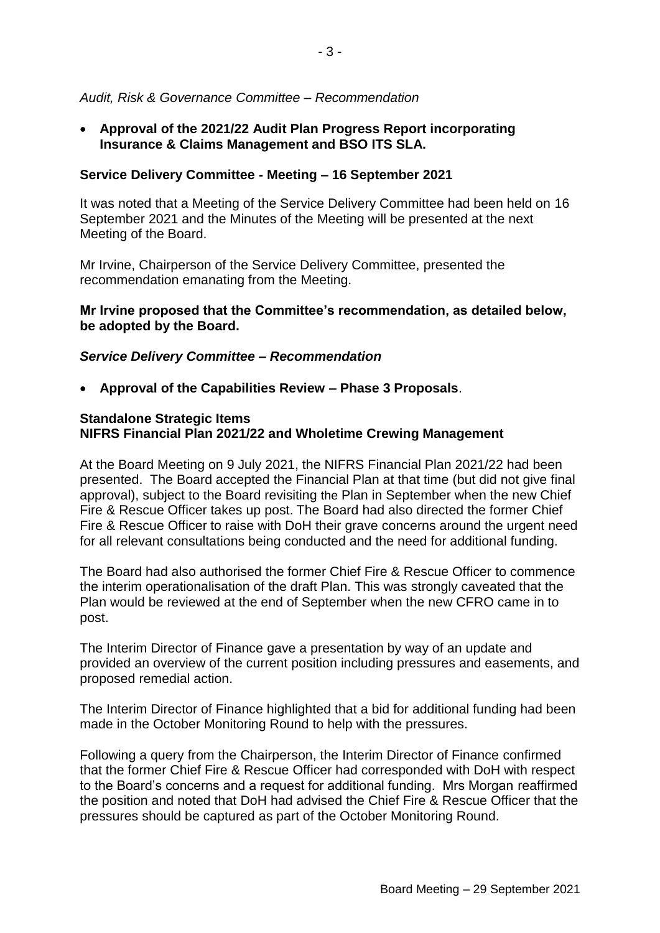## *Audit, Risk & Governance Committee – Recommendation*

 **Approval of the 2021/22 Audit Plan Progress Report incorporating Insurance & Claims Management and BSO ITS SLA.**

## **Service Delivery Committee - Meeting – 16 September 2021**

It was noted that a Meeting of the Service Delivery Committee had been held on 16 September 2021 and the Minutes of the Meeting will be presented at the next Meeting of the Board.

Mr Irvine, Chairperson of the Service Delivery Committee, presented the recommendation emanating from the Meeting.

## **Mr Irvine proposed that the Committee's recommendation, as detailed below, be adopted by the Board.**

## *Service Delivery Committee – Recommendation*

**Approval of the Capabilities Review – Phase 3 Proposals**.

## **Standalone Strategic Items NIFRS Financial Plan 2021/22 and Wholetime Crewing Management**

At the Board Meeting on 9 July 2021, the NIFRS Financial Plan 2021/22 had been presented. The Board accepted the Financial Plan at that time (but did not give final approval), subject to the Board revisiting the Plan in September when the new Chief Fire & Rescue Officer takes up post. The Board had also directed the former Chief Fire & Rescue Officer to raise with DoH their grave concerns around the urgent need for all relevant consultations being conducted and the need for additional funding.

The Board had also authorised the former Chief Fire & Rescue Officer to commence the interim operationalisation of the draft Plan. This was strongly caveated that the Plan would be reviewed at the end of September when the new CFRO came in to post.

The Interim Director of Finance gave a presentation by way of an update and provided an overview of the current position including pressures and easements, and proposed remedial action.

The Interim Director of Finance highlighted that a bid for additional funding had been made in the October Monitoring Round to help with the pressures.

Following a query from the Chairperson, the Interim Director of Finance confirmed that the former Chief Fire & Rescue Officer had corresponded with DoH with respect to the Board's concerns and a request for additional funding. Mrs Morgan reaffirmed the position and noted that DoH had advised the Chief Fire & Rescue Officer that the pressures should be captured as part of the October Monitoring Round.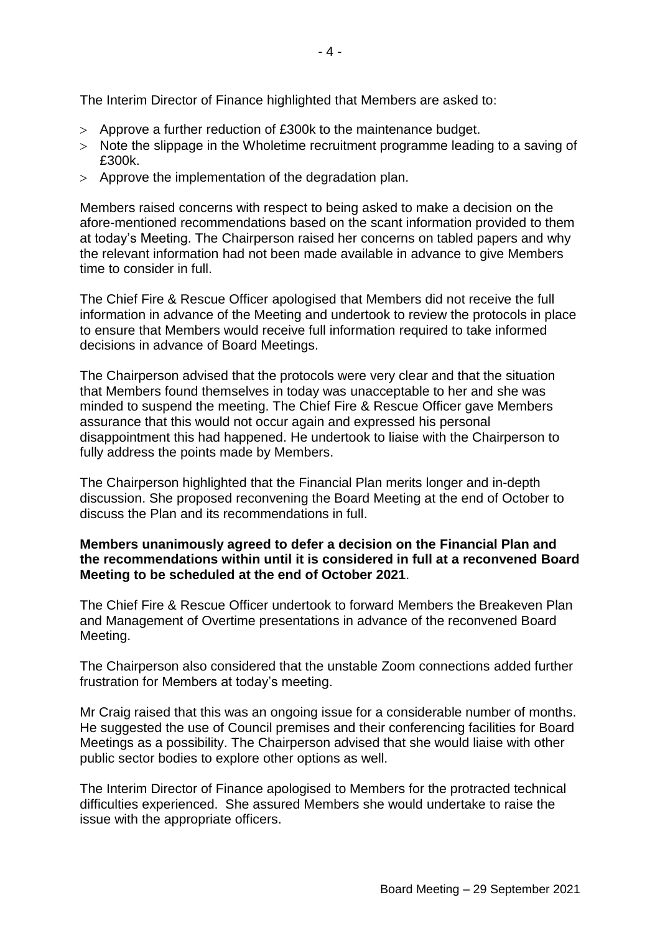The Interim Director of Finance highlighted that Members are asked to:

- Approve a further reduction of £300k to the maintenance budget.
- Note the slippage in the Wholetime recruitment programme leading to a saving of £300k.
- Approve the implementation of the degradation plan.

Members raised concerns with respect to being asked to make a decision on the afore-mentioned recommendations based on the scant information provided to them at today's Meeting. The Chairperson raised her concerns on tabled papers and why the relevant information had not been made available in advance to give Members time to consider in full.

The Chief Fire & Rescue Officer apologised that Members did not receive the full information in advance of the Meeting and undertook to review the protocols in place to ensure that Members would receive full information required to take informed decisions in advance of Board Meetings.

The Chairperson advised that the protocols were very clear and that the situation that Members found themselves in today was unacceptable to her and she was minded to suspend the meeting. The Chief Fire & Rescue Officer gave Members assurance that this would not occur again and expressed his personal disappointment this had happened. He undertook to liaise with the Chairperson to fully address the points made by Members.

The Chairperson highlighted that the Financial Plan merits longer and in-depth discussion. She proposed reconvening the Board Meeting at the end of October to discuss the Plan and its recommendations in full.

# **Members unanimously agreed to defer a decision on the Financial Plan and the recommendations within until it is considered in full at a reconvened Board Meeting to be scheduled at the end of October 2021**.

The Chief Fire & Rescue Officer undertook to forward Members the Breakeven Plan and Management of Overtime presentations in advance of the reconvened Board Meeting.

The Chairperson also considered that the unstable Zoom connections added further frustration for Members at today's meeting.

Mr Craig raised that this was an ongoing issue for a considerable number of months. He suggested the use of Council premises and their conferencing facilities for Board Meetings as a possibility. The Chairperson advised that she would liaise with other public sector bodies to explore other options as well.

The Interim Director of Finance apologised to Members for the protracted technical difficulties experienced. She assured Members she would undertake to raise the issue with the appropriate officers.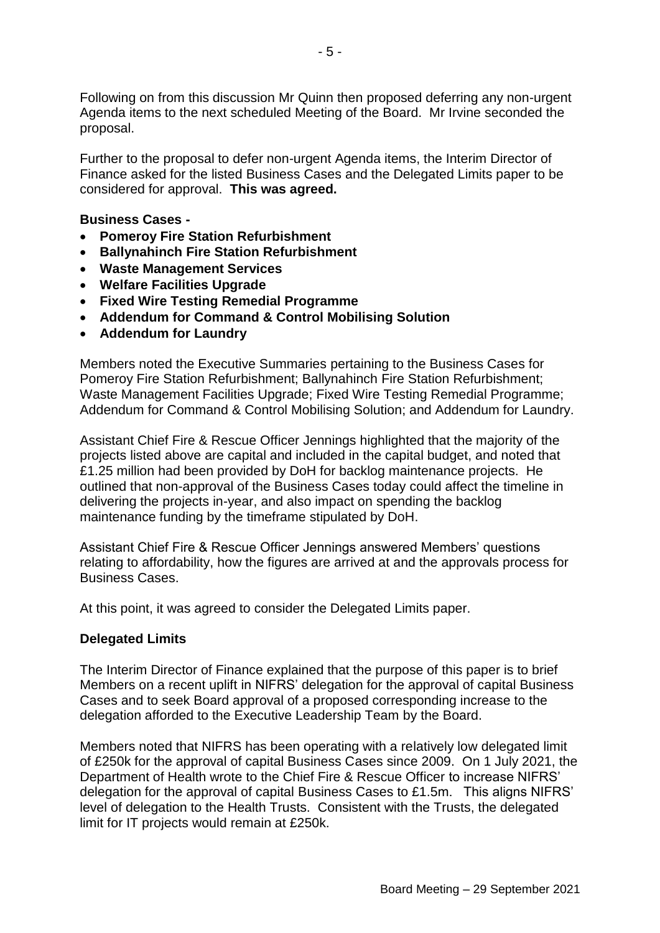Following on from this discussion Mr Quinn then proposed deferring any non-urgent Agenda items to the next scheduled Meeting of the Board. Mr Irvine seconded the proposal.

Further to the proposal to defer non-urgent Agenda items, the Interim Director of Finance asked for the listed Business Cases and the Delegated Limits paper to be considered for approval. **This was agreed.**

#### **Business Cases -**

- **Pomeroy Fire Station Refurbishment**
- **Ballynahinch Fire Station Refurbishment**
- **Waste Management Services**
- **Welfare Facilities Upgrade**
- **Fixed Wire Testing Remedial Programme**
- **Addendum for Command & Control Mobilising Solution**
- **Addendum for Laundry**

Members noted the Executive Summaries pertaining to the Business Cases for Pomeroy Fire Station Refurbishment; Ballynahinch Fire Station Refurbishment; Waste Management Facilities Upgrade; Fixed Wire Testing Remedial Programme; Addendum for Command & Control Mobilising Solution; and Addendum for Laundry.

Assistant Chief Fire & Rescue Officer Jennings highlighted that the majority of the projects listed above are capital and included in the capital budget, and noted that £1.25 million had been provided by DoH for backlog maintenance projects. He outlined that non-approval of the Business Cases today could affect the timeline in delivering the projects in-year, and also impact on spending the backlog maintenance funding by the timeframe stipulated by DoH.

Assistant Chief Fire & Rescue Officer Jennings answered Members' questions relating to affordability, how the figures are arrived at and the approvals process for Business Cases.

At this point, it was agreed to consider the Delegated Limits paper.

# **Delegated Limits**

The Interim Director of Finance explained that the purpose of this paper is to brief Members on a recent uplift in NIFRS' delegation for the approval of capital Business Cases and to seek Board approval of a proposed corresponding increase to the delegation afforded to the Executive Leadership Team by the Board.

Members noted that NIFRS has been operating with a relatively low delegated limit of £250k for the approval of capital Business Cases since 2009. On 1 July 2021, the Department of Health wrote to the Chief Fire & Rescue Officer to increase NIFRS' delegation for the approval of capital Business Cases to £1.5m. This aligns NIFRS' level of delegation to the Health Trusts. Consistent with the Trusts, the delegated limit for IT projects would remain at £250k.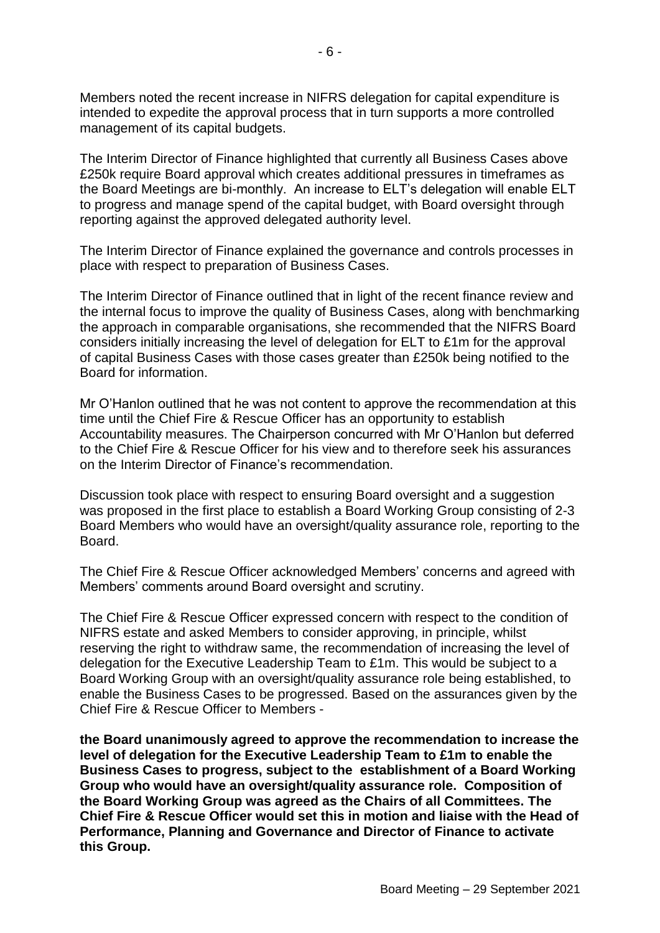Members noted the recent increase in NIFRS delegation for capital expenditure is intended to expedite the approval process that in turn supports a more controlled management of its capital budgets.

The Interim Director of Finance highlighted that currently all Business Cases above £250k require Board approval which creates additional pressures in timeframes as the Board Meetings are bi-monthly. An increase to ELT's delegation will enable ELT to progress and manage spend of the capital budget, with Board oversight through reporting against the approved delegated authority level.

The Interim Director of Finance explained the governance and controls processes in place with respect to preparation of Business Cases.

The Interim Director of Finance outlined that in light of the recent finance review and the internal focus to improve the quality of Business Cases, along with benchmarking the approach in comparable organisations, she recommended that the NIFRS Board considers initially increasing the level of delegation for ELT to £1m for the approval of capital Business Cases with those cases greater than £250k being notified to the Board for information.

Mr O'Hanlon outlined that he was not content to approve the recommendation at this time until the Chief Fire & Rescue Officer has an opportunity to establish Accountability measures. The Chairperson concurred with Mr O'Hanlon but deferred to the Chief Fire & Rescue Officer for his view and to therefore seek his assurances on the Interim Director of Finance's recommendation.

Discussion took place with respect to ensuring Board oversight and a suggestion was proposed in the first place to establish a Board Working Group consisting of 2-3 Board Members who would have an oversight/quality assurance role, reporting to the Board.

The Chief Fire & Rescue Officer acknowledged Members' concerns and agreed with Members' comments around Board oversight and scrutiny.

The Chief Fire & Rescue Officer expressed concern with respect to the condition of NIFRS estate and asked Members to consider approving, in principle, whilst reserving the right to withdraw same, the recommendation of increasing the level of delegation for the Executive Leadership Team to £1m. This would be subject to a Board Working Group with an oversight/quality assurance role being established, to enable the Business Cases to be progressed. Based on the assurances given by the Chief Fire & Rescue Officer to Members -

**the Board unanimously agreed to approve the recommendation to increase the level of delegation for the Executive Leadership Team to £1m to enable the Business Cases to progress, subject to the establishment of a Board Working Group who would have an oversight/quality assurance role. Composition of the Board Working Group was agreed as the Chairs of all Committees. The Chief Fire & Rescue Officer would set this in motion and liaise with the Head of Performance, Planning and Governance and Director of Finance to activate this Group.**